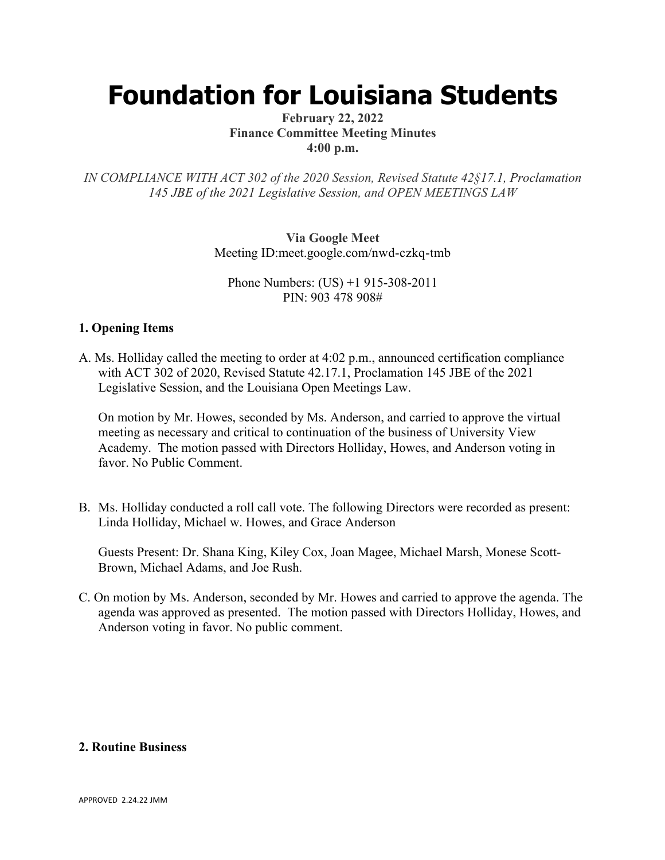# **Foundation for Louisiana Students**

#### **February 22, 2022 Finance Committee Meeting Minutes 4:00 p.m.**

*IN COMPLIANCE WITH ACT 302 of the 2020 Session, Revised Statute 42§17.1, Proclamation 145 JBE of the 2021 Legislative Session, and OPEN MEETINGS LAW*

> **Via Google Meet**  Meeting ID:meet.google.com/nwd-czkq-tmb

Phone Numbers: (US) +1 915-308-2011 PIN: 903 478 908#

## **1. Opening Items**

A. Ms. Holliday called the meeting to order at 4:02 p.m., announced certification compliance with ACT 302 of 2020, Revised Statute 42.17.1, Proclamation 145 JBE of the 2021 Legislative Session, and the Louisiana Open Meetings Law.

On motion by Mr. Howes, seconded by Ms. Anderson, and carried to approve the virtual meeting as necessary and critical to continuation of the business of University View Academy. The motion passed with Directors Holliday, Howes, and Anderson voting in favor. No Public Comment.

B. Ms. Holliday conducted a roll call vote. The following Directors were recorded as present: Linda Holliday, Michael w. Howes, and Grace Anderson

Guests Present: Dr. Shana King, Kiley Cox, Joan Magee, Michael Marsh, Monese Scott-Brown, Michael Adams, and Joe Rush.

C. On motion by Ms. Anderson, seconded by Mr. Howes and carried to approve the agenda. The agenda was approved as presented. The motion passed with Directors Holliday, Howes, and Anderson voting in favor. No public comment.

### **2. Routine Business**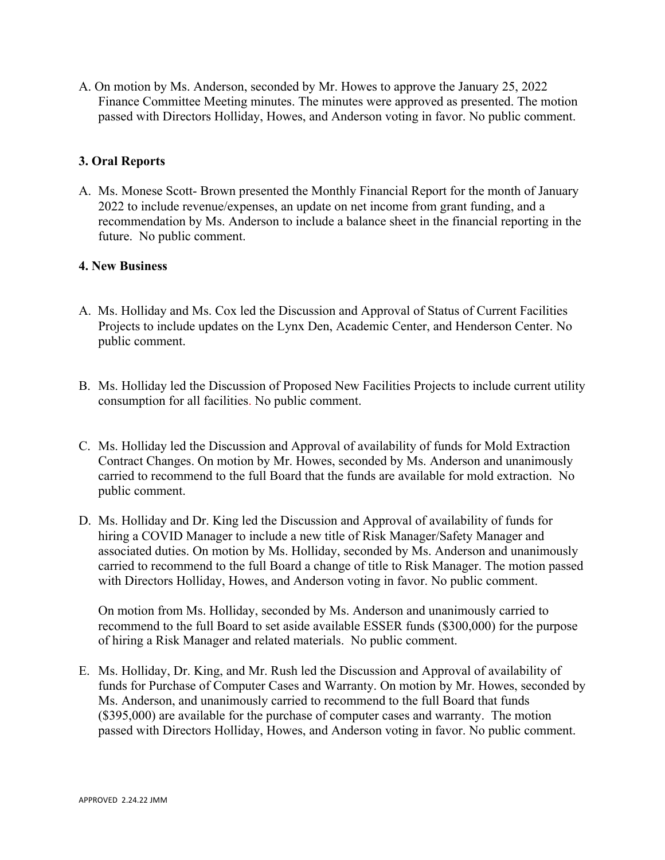A. On motion by Ms. Anderson, seconded by Mr. Howes to approve the January 25, 2022 Finance Committee Meeting minutes. The minutes were approved as presented. The motion passed with Directors Holliday, Howes, and Anderson voting in favor. No public comment.

## **3. Oral Reports**

A. Ms. Monese Scott- Brown presented the Monthly Financial Report for the month of January 2022 to include revenue/expenses, an update on net income from grant funding, and a recommendation by Ms. Anderson to include a balance sheet in the financial reporting in the future. No public comment.

### **4. New Business**

- A. Ms. Holliday and Ms. Cox led the Discussion and Approval of Status of Current Facilities Projects to include updates on the Lynx Den, Academic Center, and Henderson Center. No public comment.
- B. Ms. Holliday led the Discussion of Proposed New Facilities Projects to include current utility consumption for all facilities. No public comment.
- C. Ms. Holliday led the Discussion and Approval of availability of funds for Mold Extraction Contract Changes. On motion by Mr. Howes, seconded by Ms. Anderson and unanimously carried to recommend to the full Board that the funds are available for mold extraction. No public comment.
- D. Ms. Holliday and Dr. King led the Discussion and Approval of availability of funds for hiring a COVID Manager to include a new title of Risk Manager/Safety Manager and associated duties. On motion by Ms. Holliday, seconded by Ms. Anderson and unanimously carried to recommend to the full Board a change of title to Risk Manager. The motion passed with Directors Holliday, Howes, and Anderson voting in favor. No public comment.

On motion from Ms. Holliday, seconded by Ms. Anderson and unanimously carried to recommend to the full Board to set aside available ESSER funds (\$300,000) for the purpose of hiring a Risk Manager and related materials. No public comment.

E. Ms. Holliday, Dr. King, and Mr. Rush led the Discussion and Approval of availability of funds for Purchase of Computer Cases and Warranty. On motion by Mr. Howes, seconded by Ms. Anderson, and unanimously carried to recommend to the full Board that funds (\$395,000) are available for the purchase of computer cases and warranty. The motion passed with Directors Holliday, Howes, and Anderson voting in favor. No public comment.